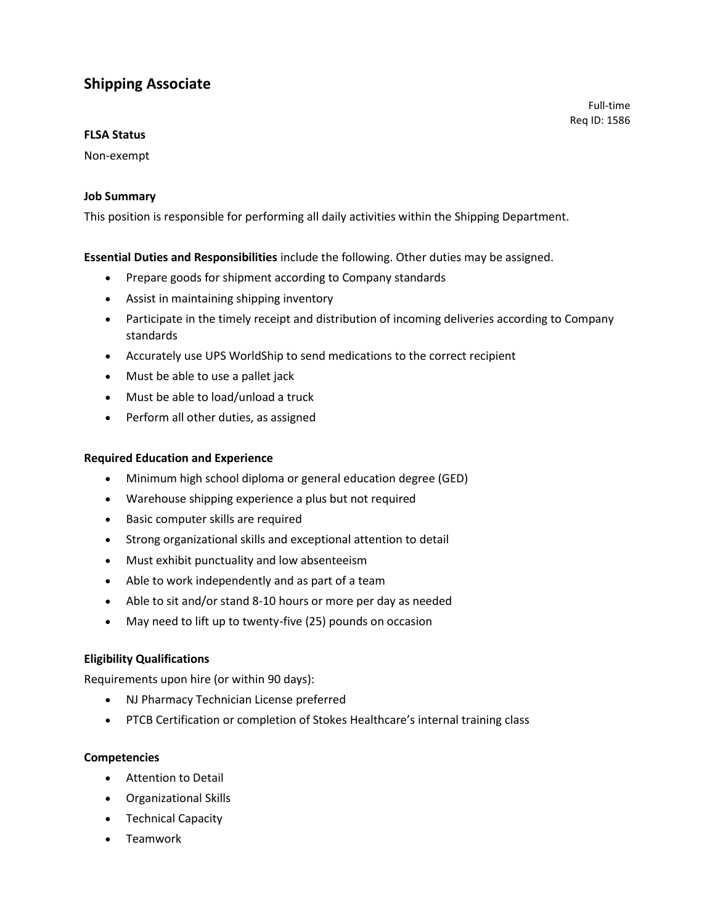# **Shipping Associate**

#### **FLSA Status**

#### Non-exempt

#### **Job Summary**

This position is responsible for performing all daily activities within the Shipping Department.

#### **Essential Duties and Responsibilities** include the following. Other duties may be assigned.

- Prepare goods for shipment according to Company standards
- Assist in maintaining shipping inventory
- Participate in the timely receipt and distribution of incoming deliveries according to Company standards

Full-time Req ID: 1586

- Accurately use UPS WorldShip to send medications to the correct recipient
- Must be able to use a pallet jack
- Must be able to load/unload a truck
- Perform all other duties, as assigned

#### **Required Education and Experience**

- Minimum high school diploma or general education degree (GED)
- Warehouse shipping experience a plus but not required
- Basic computer skills are required
- Strong organizational skills and exceptional attention to detail
- Must exhibit punctuality and low absenteeism
- Able to work independently and as part of a team
- Able to sit and/or stand 8-10 hours or more per day as needed
- May need to lift up to twenty-five (25) pounds on occasion

#### **Eligibility Qualifications**

Requirements upon hire (or within 90 days):

- NJ Pharmacy Technician License preferred
- PTCB Certification or completion of Stokes Healthcare's internal training class

#### **Competencies**

- Attention to Detail
- Organizational Skills
- Technical Capacity
- Teamwork